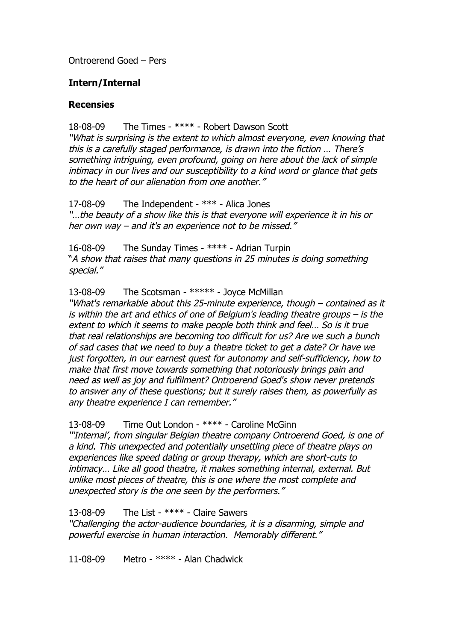Ontroerend Goed – Pers

## **Intern/Internal**

## **Recensies**

18-08-09 The Times - \*\*\*\* - Robert Dawson Scott

"What is surprising is the extent to which almost everyone, even knowing that this is a carefully staged performance, is drawn into the fiction … There's something intriguing, even profound, going on here about the lack of simple intimacy in our lives and our susceptibility to a kind word or glance that gets to the heart of our alienation from one another."

17-08-09 The Independent - \*\*\* - Alica Jones "…the beauty of a show like this is that everyone will experience it in his or her own way – and it's an experience not to be missed."

16-08-09 The Sunday Times - \*\*\*\* - Adrian Turpin "A show that raises that many questions in 25 minutes is doing something special."

13-08-09 The Scotsman - \*\*\*\*\* - Joyce McMillan

"What's remarkable about this 25-minute experience, though – contained as it is within the art and ethics of one of Belgium's leading theatre groups – is the extent to which it seems to make people both think and feel… So is it true that real relationships are becoming too difficult for us? Are we such a bunch of sad cases that we need to buy a theatre ticket to get a date? Or have we just forgotten, in our earnest quest for autonomy and self-sufficiency, how to make that first move towards something that notoriously brings pain and need as well as joy and fulfilment? Ontroerend Goed's show never pretends to answer any of these questions; but it surely raises them, as powerfully as any theatre experience I can remember."

13-08-09 Time Out London - \*\*\*\* - Caroline McGinn

"'Internal', from singular Belgian theatre company Ontroerend Goed, is one of a kind. This unexpected and potentially unsettling piece of theatre plays on experiences like speed dating or group therapy, which are short-cuts to intimacy… Like all good theatre, it makes something internal, external. But unlike most pieces of theatre, this is one where the most complete and unexpected story is the one seen by the performers."

13-08-09 The List - \*\*\*\* - Claire Sawers

"Challenging the actor-audience boundaries, it is a disarming, simple and powerful exercise in human interaction. Memorably different."

11-08-09 Metro - \*\*\*\* - Alan Chadwick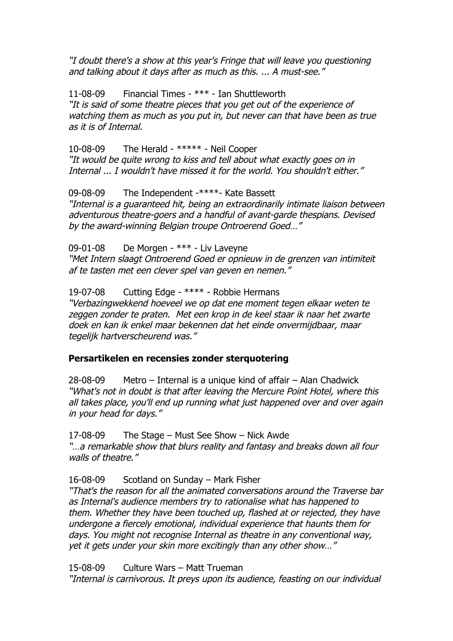"I doubt there's a show at this year's Fringe that will leave you questioning and talking about it days after as much as this. ... A must-see."

11-08-09 Financial Times - \*\*\* - Ian Shuttleworth "It is said of some theatre pieces that you get out of the experience of watching them as much as you put in, but never can that have been as true as it is of Internal.

10-08-09 The Herald - \*\*\*\*\* - Neil Cooper "It would be quite wrong to kiss and tell about what exactly goes on in Internal ... I wouldn't have missed it for the world. You shouldn't either."

09-08-09 The Independent -\*\*\*\*- Kate Bassett "Internal is a guaranteed hit, being an extraordinarily intimate liaison between adventurous theatre-goers and a handful of avant-garde thespians. Devised by the award-winning Belgian troupe Ontroerend Goed…"

09-01-08 De Morgen - \*\*\* - Liv Laveyne

"Met Intern slaagt Ontroerend Goed er opnieuw in de grenzen van intimiteit af te tasten met een clever spel van geven en nemen."

19-07-08 Cutting Edge - \*\*\*\* - Robbie Hermans

"Verbazingwekkend hoeveel we op dat ene moment tegen elkaar weten te zeggen zonder te praten. Met een krop in de keel staar ik naar het zwarte doek en kan ik enkel maar bekennen dat het einde onvermijdbaar, maar tegelijk hartverscheurend was."

## **Persartikelen en recensies zonder sterquotering**

28-08-09 Metro – Internal is a unique kind of affair – Alan Chadwick "What's not in doubt is that after leaving the Mercure Point Hotel, where this all takes place, you'll end up running what just happened over and over again in your head for days."

17-08-09 The Stage – Must See Show – Nick Awde "…a remarkable show that blurs reality and fantasy and breaks down all four walls of theatre."

16-08-09 Scotland on Sunday – Mark Fisher

"That's the reason for all the animated conversations around the Traverse bar as Internal's audience members try to rationalise what has happened to them. Whether they have been touched up, flashed at or rejected, they have undergone a fiercely emotional, individual experience that haunts them for days. You might not recognise Internal as theatre in any conventional way, yet it gets under your skin more excitingly than any other show…"

15-08-09 Culture Wars – Matt Trueman

"Internal is carnivorous. It preys upon its audience, feasting on our individual